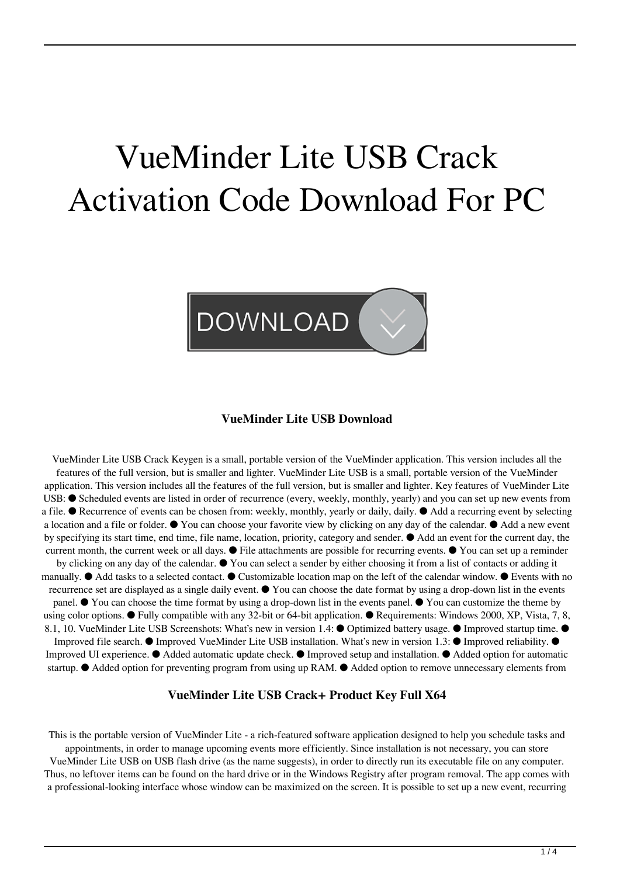# VueMinder Lite USB Crack Activation Code Download For PC



#### **VueMinder Lite USB Download**

VueMinder Lite USB Crack Keygen is a small, portable version of the VueMinder application. This version includes all the features of the full version, but is smaller and lighter. VueMinder Lite USB is a small, portable version of the VueMinder application. This version includes all the features of the full version, but is smaller and lighter. Key features of VueMinder Lite USB: ● Scheduled events are listed in order of recurrence (every, weekly, monthly, yearly) and you can set up new events from a file. ● Recurrence of events can be chosen from: weekly, monthly, yearly or daily, daily. ● Add a recurring event by selecting a location and a file or folder. ● You can choose your favorite view by clicking on any day of the calendar. ● Add a new event by specifying its start time, end time, file name, location, priority, category and sender. ● Add an event for the current day, the current month, the current week or all days. ● File attachments are possible for recurring events. ● You can set up a reminder by clicking on any day of the calendar. ● You can select a sender by either choosing it from a list of contacts or adding it manually. ● Add tasks to a selected contact. ● Customizable location map on the left of the calendar window. ● Events with no recurrence set are displayed as a single daily event. ● You can choose the date format by using a drop-down list in the events panel. ● You can choose the time format by using a drop-down list in the events panel. ● You can customize the theme by using color options.  $\bullet$  Fully compatible with any 32-bit or 64-bit application.  $\bullet$  Requirements: Windows 2000, XP, Vista, 7, 8, 8.1, 10. VueMinder Lite USB Screenshots: What's new in version 1.4: ● Optimized battery usage. ● Improved startup time. ● Improved file search. ● Improved VueMinder Lite USB installation. What's new in version 1.3: ● Improved reliability. ●

Improved UI experience. ● Added automatic update check. ● Improved setup and installation. ● Added option for automatic startup. ● Added option for preventing program from using up RAM. ● Added option to remove unnecessary elements from

#### **VueMinder Lite USB Crack+ Product Key Full X64**

This is the portable version of VueMinder Lite - a rich-featured software application designed to help you schedule tasks and appointments, in order to manage upcoming events more efficiently. Since installation is not necessary, you can store VueMinder Lite USB on USB flash drive (as the name suggests), in order to directly run its executable file on any computer. Thus, no leftover items can be found on the hard drive or in the Windows Registry after program removal. The app comes with a professional-looking interface whose window can be maximized on the screen. It is possible to set up a new event, recurring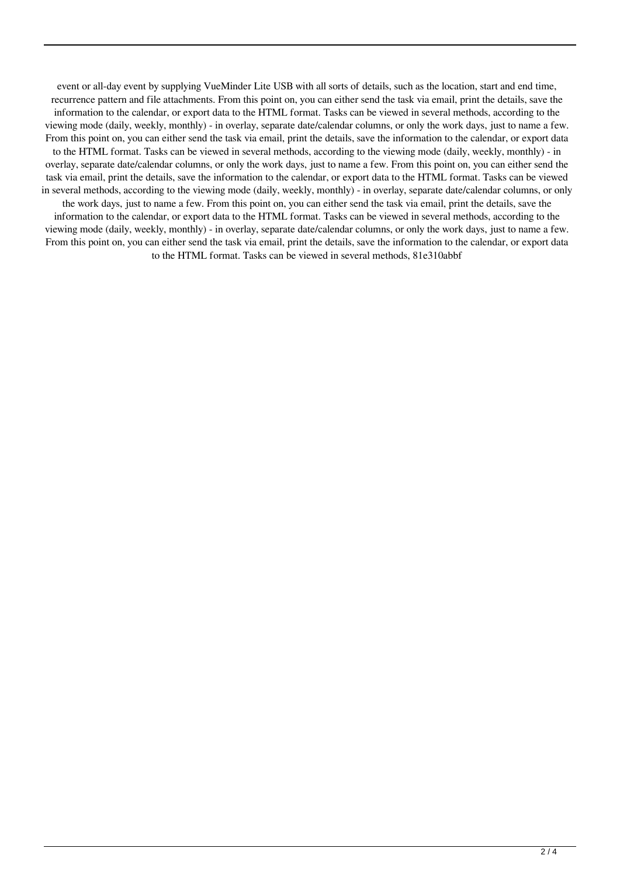event or all-day event by supplying VueMinder Lite USB with all sorts of details, such as the location, start and end time, recurrence pattern and file attachments. From this point on, you can either send the task via email, print the details, save the information to the calendar, or export data to the HTML format. Tasks can be viewed in several methods, according to the viewing mode (daily, weekly, monthly) - in overlay, separate date/calendar columns, or only the work days, just to name a few. From this point on, you can either send the task via email, print the details, save the information to the calendar, or export data to the HTML format. Tasks can be viewed in several methods, according to the viewing mode (daily, weekly, monthly) - in overlay, separate date/calendar columns, or only the work days, just to name a few. From this point on, you can either send the task via email, print the details, save the information to the calendar, or export data to the HTML format. Tasks can be viewed in several methods, according to the viewing mode (daily, weekly, monthly) - in overlay, separate date/calendar columns, or only the work days, just to name a few. From this point on, you can either send the task via email, print the details, save the information to the calendar, or export data to the HTML format. Tasks can be viewed in several methods, according to the viewing mode (daily, weekly, monthly) - in overlay, separate date/calendar columns, or only the work days, just to name a few. From this point on, you can either send the task via email, print the details, save the information to the calendar, or export data to the HTML format. Tasks can be viewed in several methods, 81e310abbf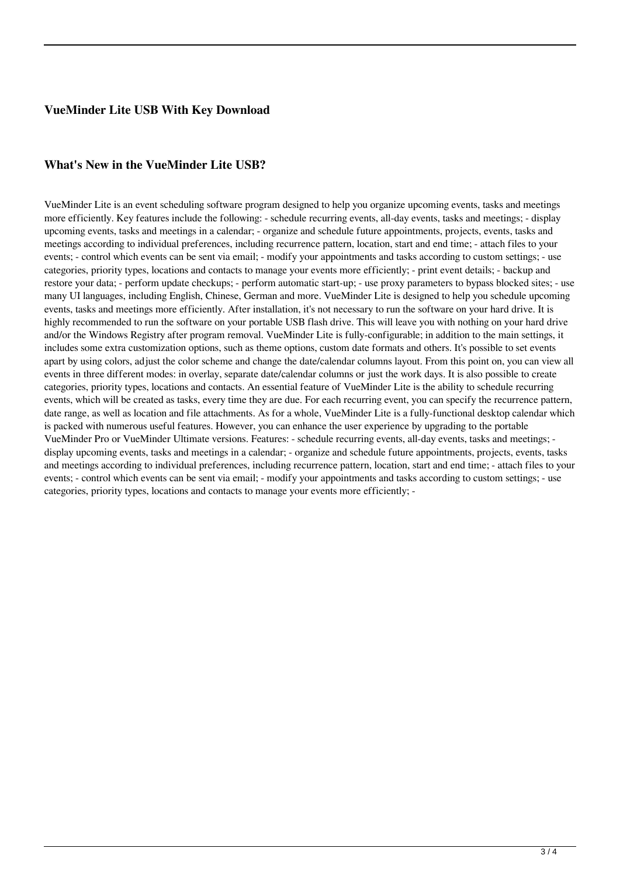## **VueMinder Lite USB With Key Download**

### **What's New in the VueMinder Lite USB?**

VueMinder Lite is an event scheduling software program designed to help you organize upcoming events, tasks and meetings more efficiently. Key features include the following: - schedule recurring events, all-day events, tasks and meetings; - display upcoming events, tasks and meetings in a calendar; - organize and schedule future appointments, projects, events, tasks and meetings according to individual preferences, including recurrence pattern, location, start and end time; - attach files to your events; - control which events can be sent via email; - modify your appointments and tasks according to custom settings; - use categories, priority types, locations and contacts to manage your events more efficiently; - print event details; - backup and restore your data; - perform update checkups; - perform automatic start-up; - use proxy parameters to bypass blocked sites; - use many UI languages, including English, Chinese, German and more. VueMinder Lite is designed to help you schedule upcoming events, tasks and meetings more efficiently. After installation, it's not necessary to run the software on your hard drive. It is highly recommended to run the software on your portable USB flash drive. This will leave you with nothing on your hard drive and/or the Windows Registry after program removal. VueMinder Lite is fully-configurable; in addition to the main settings, it includes some extra customization options, such as theme options, custom date formats and others. It's possible to set events apart by using colors, adjust the color scheme and change the date/calendar columns layout. From this point on, you can view all events in three different modes: in overlay, separate date/calendar columns or just the work days. It is also possible to create categories, priority types, locations and contacts. An essential feature of VueMinder Lite is the ability to schedule recurring events, which will be created as tasks, every time they are due. For each recurring event, you can specify the recurrence pattern, date range, as well as location and file attachments. As for a whole, VueMinder Lite is a fully-functional desktop calendar which is packed with numerous useful features. However, you can enhance the user experience by upgrading to the portable VueMinder Pro or VueMinder Ultimate versions. Features: - schedule recurring events, all-day events, tasks and meetings; display upcoming events, tasks and meetings in a calendar; - organize and schedule future appointments, projects, events, tasks and meetings according to individual preferences, including recurrence pattern, location, start and end time; - attach files to your events; - control which events can be sent via email; - modify your appointments and tasks according to custom settings; - use categories, priority types, locations and contacts to manage your events more efficiently; -